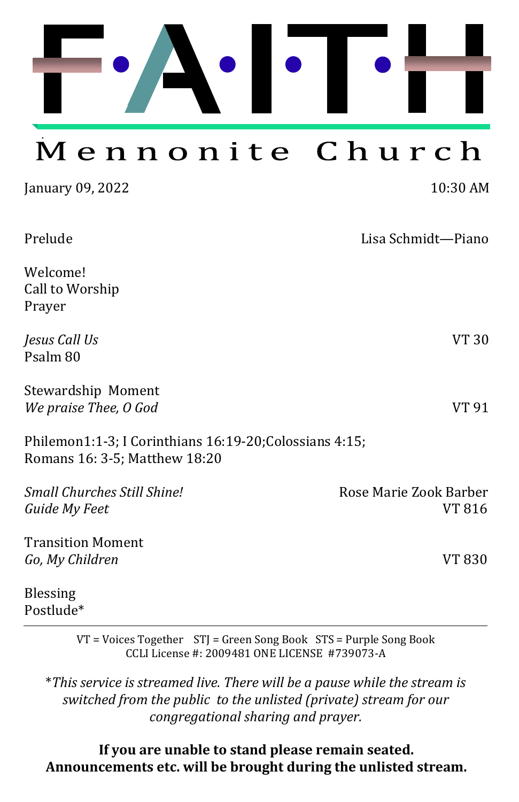

January 09, 2022 10:30 AM

| Prelude                                                                                  | Lisa Schmidt-Piano               |
|------------------------------------------------------------------------------------------|----------------------------------|
| Welcome!<br>Call to Worship<br>Prayer                                                    |                                  |
| Jesus Call Us<br>Psalm 80                                                                | VT 30                            |
| Stewardship Moment<br>We praise Thee, O God                                              | VT 91                            |
| Philemon1:1-3; I Corinthians 16:19-20; Colossians 4:15;<br>Romans 16: 3-5; Matthew 18:20 |                                  |
| Small Churches Still Shine!<br>Guide My Feet                                             | Rose Marie Zook Barber<br>VT 816 |
| <b>Transition Moment</b><br>Go, My Children                                              | VT 830                           |
| <b>Blessing</b><br>Postlude*                                                             |                                  |

VT = Voices Together STJ = Green Song Book STS = Purple Song Book CCLI License #: 2009481 ONE LICENSE #739073-A

\**This service is streamed live. There will be a pause while the stream is switched from the public to the unlisted (private) stream for our congregational sharing and prayer.* 

#### **If you are unable to stand please remain seated. Announcements etc. will be brought during the unlisted stream.**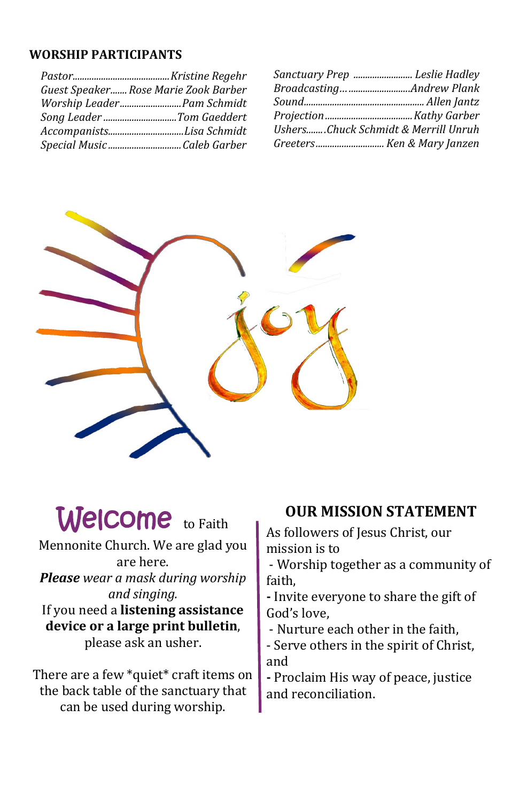#### **WORSHIP PARTICIPANTS**

| Guest Speaker Rose Marie Zook Barber |  |
|--------------------------------------|--|
| Worship Leader Pam Schmidt           |  |
| Song Leader Tom Gaeddert             |  |
| AccompanistsLisa Schmidt             |  |
|                                      |  |

| Sanctuary Prep  Leslie Hadley       |  |
|-------------------------------------|--|
|                                     |  |
|                                     |  |
|                                     |  |
| UshersChuck Schmidt & Merrill Unruh |  |
| Greeters Ken & Mary Janzen          |  |



# Welcome to Faith

Mennonite Church. We are glad you are here.

*Please wear a mask during worship and singing.*

If you need a **listening assistance device or a large print bulletin**, please ask an usher.

There are a few \*quiet\* craft items on the back table of the sanctuary that can be used during worship.

#### **OUR MISSION STATEMENT**

As followers of Jesus Christ, our mission is to

- Worship together as a community of faith,

**-** Invite everyone to share the gift of God's love,

- Nurture each other in the faith,

- Serve others in the spirit of Christ, and

**-** Proclaim His way of peace, justice and reconciliation.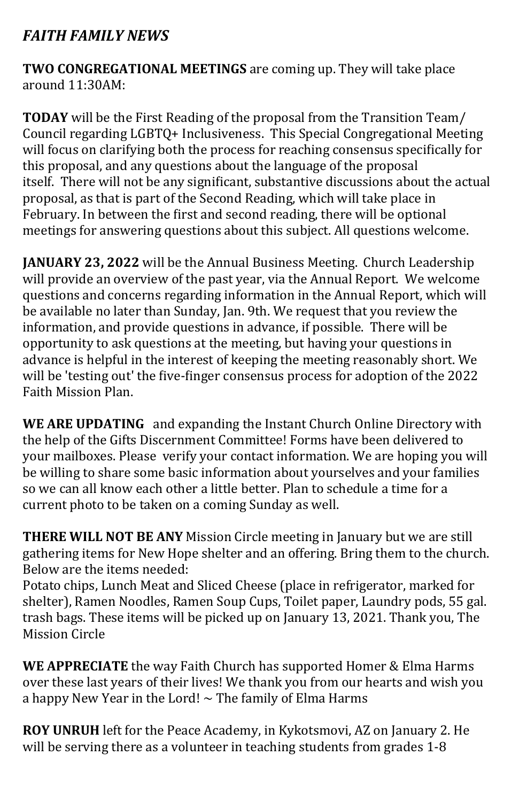#### *FAITH FAMILY NEWS*

**TWO CONGREGATIONAL MEETINGS** are coming up. They will take place around 11:30AM:

**TODAY** will be the First Reading of the proposal from the Transition Team/ Council regarding LGBTQ+ Inclusiveness. This Special Congregational Meeting will focus on clarifying both the process for reaching consensus specifically for this proposal, and any questions about the language of the proposal itself. There will not be any significant, substantive discussions about the actual proposal, as that is part of the Second Reading, which will take place in February. In between the first and second reading, there will be optional meetings for answering questions about this subject. All questions welcome.

**JANUARY 23, 2022** will be the Annual Business Meeting. Church Leadership will provide an overview of the past year, via the Annual Report. We welcome questions and concerns regarding information in the Annual Report, which will be available no later than Sunday, Jan. 9th. We request that you review the information, and provide questions in advance, if possible. There will be opportunity to ask questions at the meeting, but having your questions in advance is helpful in the interest of keeping the meeting reasonably short. We will be 'testing out' the five-finger consensus process for adoption of the 2022 Faith Mission Plan.

**WE ARE UPDATING** and expanding the Instant Church Online Directory with the help of the Gifts Discernment Committee! Forms have been delivered to your mailboxes. Please verify your contact information. We are hoping you will be willing to share some basic information about yourselves and your families so we can all know each other a little better. Plan to schedule a time for a current photo to be taken on a coming Sunday as well.

**THERE WILL NOT BE ANY** Mission Circle meeting in January but we are still gathering items for New Hope shelter and an offering. Bring them to the church. Below are the items needed:

Potato chips, Lunch Meat and Sliced Cheese (place in refrigerator, marked for shelter), Ramen Noodles, Ramen Soup Cups, Toilet paper, Laundry pods, 55 gal. trash bags. These items will be picked up on January 13, 2021. Thank you, The Mission Circle

**WE APPRECIATE** the way Faith Church has supported Homer & Elma Harms over these last years of their lives! We thank you from our hearts and wish you a happy New Year in the Lord!  $\sim$  The family of Elma Harms

**ROY UNRUH** left for the Peace Academy, in Kykotsmovi, AZ on January 2. He will be serving there as a volunteer in teaching students from grades 1-8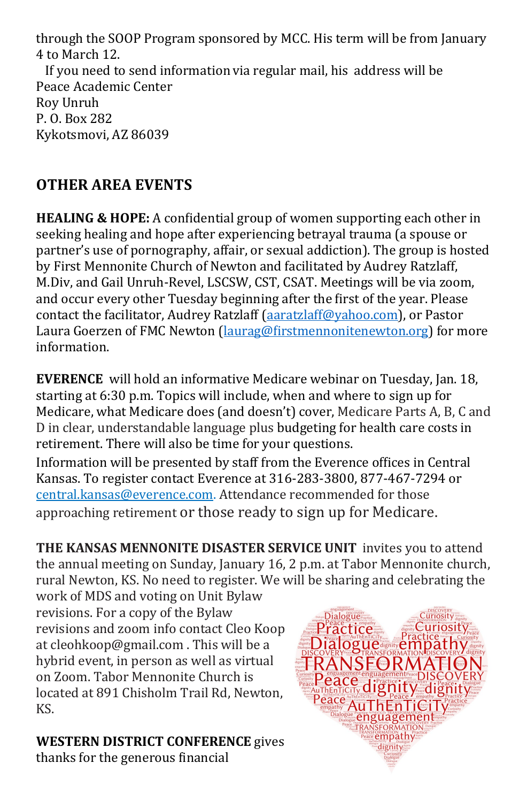through the SOOP Program sponsored by MCC. His term will be from January 4 to March 12.

 If you need to send information via regular mail, his address will be Peace Academic Center Roy Unruh P. O. Box 282 Kykotsmovi, AZ 86039

### **OTHER AREA EVENTS**

**HEALING & HOPE:** A confidential group of women supporting each other in seeking healing and hope after experiencing betrayal trauma (a spouse or partner's use of pornography, affair, or sexual addiction). The group is hosted by First Mennonite Church of Newton and facilitated by Audrey Ratzlaff, M.Div, and Gail Unruh-Revel, LSCSW, CST, CSAT. Meetings will be via zoom, and occur every other Tuesday beginning after the first of the year. Please contact the facilitator, Audrey Ratzlaff ([aaratzlaff@yahoo.com\)](mailto:aaratzlaff@yahoo.com), or Pastor Laura Goerzen of FMC Newton ([laurag@firstmennonitenewton.org\)](mailto:laurag@firstmennonitenewton.org) for more information.

**EVERENCE** will hold an informative Medicare webinar on Tuesday, Jan. 18, starting at 6:30 p.m. Topics will include, when and where to sign up for Medicare, what Medicare does (and doesn't) cover, Medicare Parts A, B, C and D in clear, understandable language plus budgeting for health care costs in retirement. There will also be time for your questions.

Information will be presented by staff from the Everence offices in Central Kansas. To register contact Everence at 316-283-3800, 877-467-7294 or [central.kansas@everence.com.](mailto:central.kansas@everence.com) Attendance recommended for those approaching retirement or those ready to sign up for Medicare.

**THE KANSAS MENNONITE DISASTER SERVICE UNIT** invites you to attend the annual meeting on Sunday, January 16, 2 p.m. at Tabor Mennonite church, rural Newton, KS. No need to register. We will be sharing and celebrating the work of MDS and voting on Unit Bylaw

revisions. For a copy of the Bylaw revisions and zoom info contact Cleo Koop at cleohkoop@gmail.com . This will be a hybrid event, in person as well as virtual on Zoom. Tabor Mennonite Church is located at 891 Chisholm Trail Rd, Newton, KS.

#### **WESTERN DISTRICT CONFERENCE** gives

thanks for the generous financial

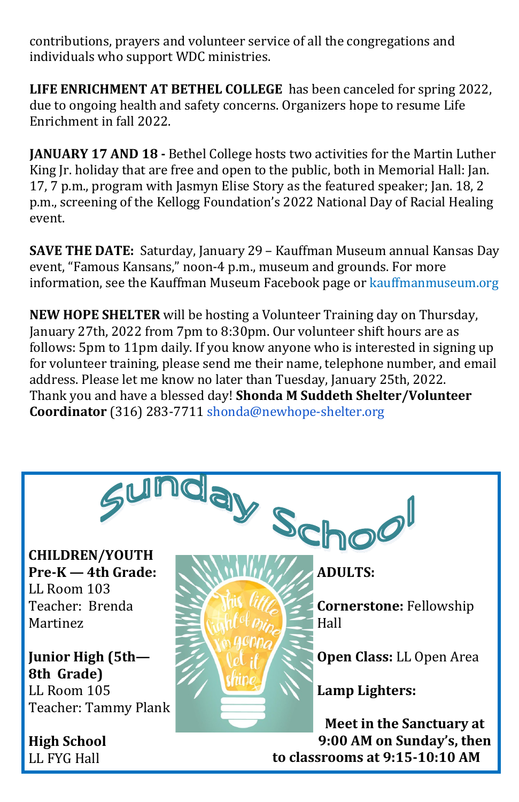contributions, prayers and volunteer service of all the congregations and individuals who support WDC ministries.

**LIFE ENRICHMENT AT BETHEL COLLEGE** has been canceled for spring 2022, due to ongoing health and safety concerns. Organizers hope to resume Life Enrichment in fall 2022.

**JANUARY 17 AND 18 -** Bethel College hosts two activities for the Martin Luther King Jr. holiday that are free and open to the public, both in Memorial Hall: Jan. 17, 7 p.m., program with Jasmyn Elise Story as the featured speaker; Jan. 18, 2 p.m., screening of the Kellogg Foundation's 2022 National Day of Racial Healing event.

**SAVE THE DATE:** Saturday, January 29 – Kauffman Museum annual Kansas Day event, "Famous Kansans," noon-4 p.m., museum and grounds. For more information, see the Kauffman Museum Facebook page or [kauffmanmuseum.org](http://kauffmanmuseum.org)

**NEW HOPE SHELTER** will be hosting a Volunteer Training day on Thursday, January 27th, 2022 from 7pm to 8:30pm. Our volunteer shift hours are as follows: 5pm to 11pm daily. If you know anyone who is interested in signing up for volunteer training, please send me their name, telephone number, and email address. Please let me know no later than Tuesday, January 25th, 2022. Thank you and have a blessed day! **Shonda M Suddeth Shelter/Volunteer Coordinator** (316) 283-7711 [shonda@newhope](mailto:Brian@newhope-shelter.org)-shelter.org